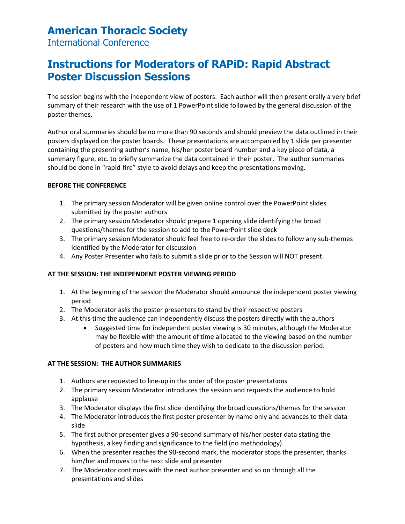## **American Thoracic Society**

International Conference

# **Instructions for Moderators of RAPiD: Rapid Abstract Poster Discussion Sessions**

The session begins with the independent view of posters. Each author will then present orally a very brief summary of their research with the use of 1 PowerPoint slide followed by the general discussion of the poster themes.

Author oral summaries should be no more than 90 seconds and should preview the data outlined in their posters displayed on the poster boards. These presentations are accompanied by 1 slide per presenter containing the presenting author's name, his/her poster board number and a key piece of data, a summary figure, etc. to briefly summarize the data contained in their poster. The author summaries should be done in "rapid-fire" style to avoid delays and keep the presentations moving.

#### **BEFORE THE CONFERENCE**

- 1. The primary session Moderator will be given online control over the PowerPoint slides submitted by the poster authors
- 2. The primary session Moderator should prepare 1 opening slide identifying the broad questions/themes for the session to add to the PowerPoint slide deck
- 3. The primary session Moderator should feel free to re-order the slides to follow any sub-themes identified by the Moderator for discussion
- 4. Any Poster Presenter who fails to submit a slide prior to the Session will NOT present.

### **AT THE SESSION: THE INDEPENDENT POSTER VIEWING PERIOD**

- 1. At the beginning of the session the Moderator should announce the independent poster viewing period
- 2. The Moderator asks the poster presenters to stand by their respective posters
- 3. At this time the audience can independently discuss the posters directly with the authors
	- Suggested time for independent poster viewing is 30 minutes, although the Moderator may be flexible with the amount of time allocated to the viewing based on the number of posters and how much time they wish to dedicate to the discussion period.

#### **AT THE SESSION: THE AUTHOR SUMMARIES**

- 1. Authors are requested to line-up in the order of the poster presentations
- 2. The primary session Moderator introduces the session and requests the audience to hold applause
- 3. The Moderator displays the first slide identifying the broad questions/themes for the session
- 4. The Moderator introduces the first poster presenter by name only and advances to their data slide
- 5. The first author presenter gives a 90-second summary of his/her poster data stating the hypothesis, a key finding and significance to the field (no methodology).
- 6. When the presenter reaches the 90-second mark, the moderator stops the presenter, thanks him/her and moves to the next slide and presenter
- 7. The Moderator continues with the next author presenter and so on through all the presentations and slides